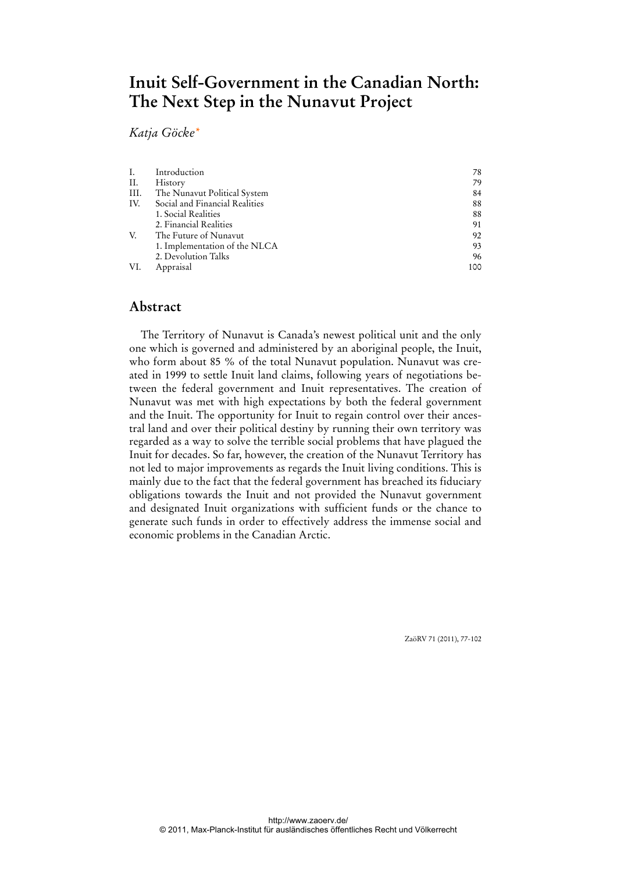# **Inuit Self-Government in the Canadian North: The Next Step in the Nunavut Project**

*Katja Göcke\**

| Ι.   | Introduction                   | 78  |
|------|--------------------------------|-----|
| II.  | History                        | 79  |
| III. | The Nunavut Political System   | 84  |
| IV.  | Social and Financial Realities | 88  |
|      | 1. Social Realities            | 88  |
|      | 2. Financial Realities         | 91  |
| V.   | The Future of Nunavut          | 92  |
|      | 1. Implementation of the NLCA  | 93  |
|      | 2. Devolution Talks            | 96  |
| VI.  | Appraisal                      | 100 |

# **Abstract**

The Territory of Nunavut is Canada's newest political unit and the only one which is governed and administered by an aboriginal people, the Inuit, who form about 85 % of the total Nunavut population. Nunavut was created in 1999 to settle Inuit land claims, following years of negotiations between the federal government and Inuit representatives. The creation of Nunavut was met with high expectations by both the federal government and the Inuit. The opportunity for Inuit to regain control over their ancestral land and over their political destiny by running their own territory was regarded as a way to solve the terrible social problems that have plagued the Inuit for decades. So far, however, the creation of the Nunavut Territory has not led to major improvements as regards the Inuit living conditions. This is mainly due to the fact that the federal government has breached its fiduciary obligations towards the Inuit and not provided the Nunavut government and designated Inuit organizations with sufficient funds or the chance to generate such funds in order to effectively address the immense social and economic problems in the Canadian Arctic.

ZaöRV 71 (2011), 77-102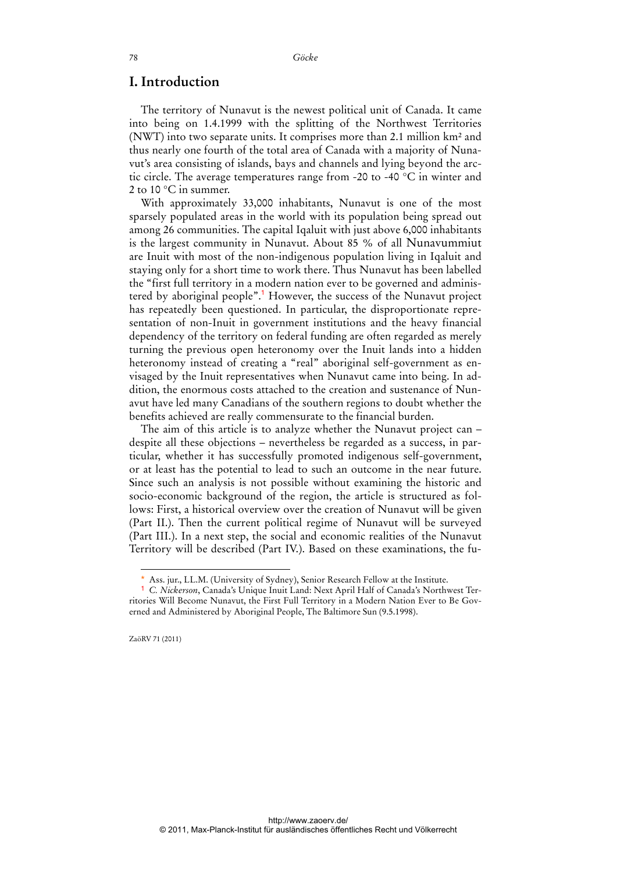#### **I. Introduction**

The territory of Nunavut is the newest political unit of Canada. It came into being on 1.4.1999 with the splitting of the Northwest Territories (NWT) into two separate units. It comprises more than 2.1 million km2 and thus nearly one fourth of the total area of Canada with a majority of Nunavut's area consisting of islands, bays and channels and lying beyond the arctic circle. The average temperatures range from -20 to -40 °C in winter and 2 to 10 °C in summer.

With approximately 33,000 inhabitants, Nunavut is one of the most sparsely populated areas in the world with its population being spread out among 26 communities. The capital Iqaluit with just above 6,000 inhabitants is the largest community in Nunavut. About 85 % of all Nunavummiut are Inuit with most of the non-indigenous population living in Iqaluit and staying only for a short time to work there. Thus Nunavut has been labelled the "first full territory in a modern nation ever to be governed and administered by aboriginal people".<sup>1</sup> However, the success of the Nunavut project has repeatedly been questioned. In particular, the disproportionate representation of non-Inuit in government institutions and the heavy financial dependency of the territory on federal funding are often regarded as merely turning the previous open heteronomy over the Inuit lands into a hidden heteronomy instead of creating a "real" aboriginal self-government as envisaged by the Inuit representatives when Nunavut came into being. In addition, the enormous costs attached to the creation and sustenance of Nunavut have led many Canadians of the southern regions to doubt whether the benefits achieved are really commensurate to the financial burden.

The aim of this article is to analyze whether the Nunavut project can – despite all these objections – nevertheless be regarded as a success, in particular, whether it has successfully promoted indigenous self-government, or at least has the potential to lead to such an outcome in the near future. Since such an analysis is not possible without examining the historic and socio-economic background of the region, the article is structured as follows: First, a historical overview over the creation of Nunavut will be given (Part II.). Then the current political regime of Nunavut will be surveyed (Part III.). In a next step, the social and economic realities of the Nunavut Territory will be described (Part IV.). Based on these examinations, the fu-

Ass. jur., LL.M. (University of Sydney), Senior Research Fellow at the Institute.

<sup>1</sup> *C. Nickerson*, Canada's Unique Inuit Land: Next April Half of Canada's Northwest Territories Will Become Nunavut, the First Full Territory in a Modern Nation Ever to Be Governed and Administered by Aboriginal People, The Baltimore Sun (9.5.1998).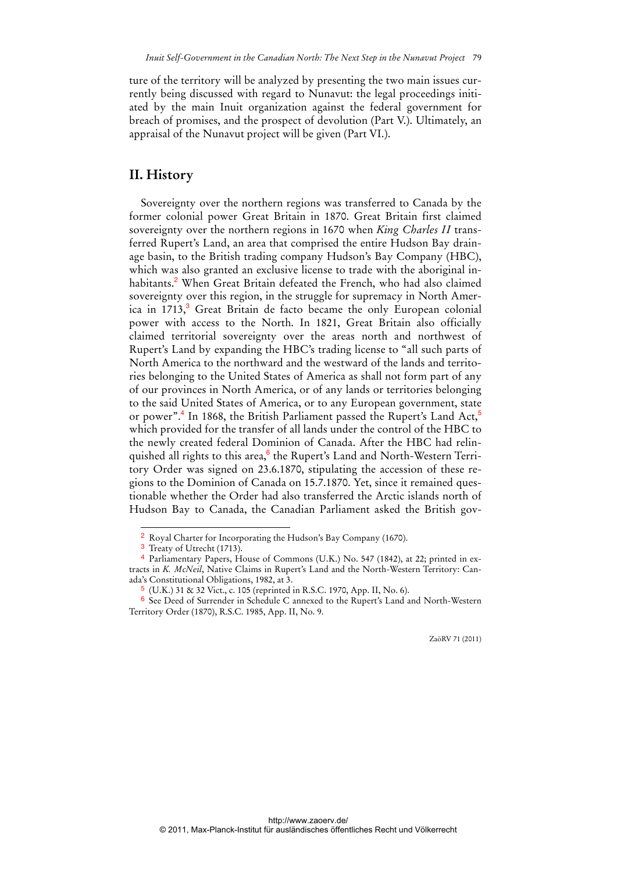ture of the territory will be analyzed by presenting the two main issues currently being discussed with regard to Nunavut: the legal proceedings initiated by the main Inuit organization against the federal government for breach of promises, and the prospect of devolution (Part V.). Ultimately, an appraisal of the Nunavut project will be given (Part VI.).

# **II. History**

Sovereignty over the northern regions was transferred to Canada by the former colonial power Great Britain in 1870. Great Britain first claimed sovereignty over the northern regions in 1670 when *King Charles II* transferred Rupert's Land, an area that comprised the entire Hudson Bay drainage basin, to the British trading company Hudson's Bay Company (HBC), which was also granted an exclusive license to trade with the aboriginal inhabitants.<sup>2</sup> When Great Britain defeated the French, who had also claimed sovereignty over this region, in the struggle for supremacy in North America in 1713,<sup>3</sup> Great Britain de facto became the only European colonial power with access to the North. In 1821, Great Britain also officially claimed territorial sovereignty over the areas north and northwest of Rupert's Land by expanding the HBC's trading license to "all such parts of North America to the northward and the westward of the lands and territories belonging to the United States of America as shall not form part of any of our provinces in North America, or of any lands or territories belonging to the said United States of America, or to any European government, state or power".<sup>4</sup> In 1868, the British Parliament passed the Rupert's Land Act,<sup>5</sup> which provided for the transfer of all lands under the control of the HBC to the newly created federal Dominion of Canada. After the HBC had relinquished all rights to this area,<sup>6</sup> the Rupert's Land and North-Western Territory Order was signed on 23.6.1870, stipulating the accession of these regions to the Dominion of Canada on 15.7.1870. Yet, since it remained questionable whether the Order had also transferred the Arctic islands north of Hudson Bay to Canada, the Canadian Parliament asked the British gov-

 $\overline{a}$ 

<sup>2</sup> Royal Charter for Incorporating the Hudson's Bay Company (1670).

<sup>3</sup> Treaty of Utrecht (1713).

<sup>4</sup> Parliamentary Papers, House of Commons (U.K.) No. 547 (1842), at 22; printed in extracts in *K. McNeil*, Native Claims in Rupert's Land and the North-Western Territory: Canada's Constitutional Obligations, 1982, at 3.

<sup>5</sup> (U.K.) 31 & 32 Vict., c. 105 (reprinted in R.S.C. 1970, App. II, No. 6).

<sup>6</sup> See Deed of Surrender in Schedule C annexed to the Rupert's Land and North-Western Territory Order (1870), R.S.C. 1985, App. II, No. 9.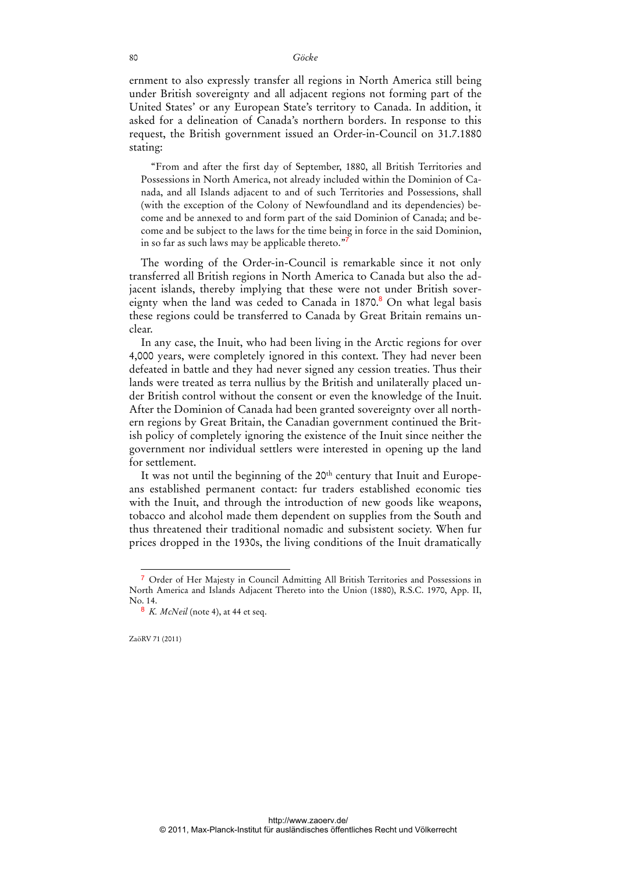#### 80 *Göcke*

ernment to also expressly transfer all regions in North America still being under British sovereignty and all adjacent regions not forming part of the United States' or any European State's territory to Canada. In addition, it asked for a delineation of Canada's northern borders. In response to this request, the British government issued an Order-in-Council on 31.7.1880 stating:

"From and after the first day of September, 1880, all British Territories and Possessions in North America, not already included within the Dominion of Canada, and all Islands adjacent to and of such Territories and Possessions, shall (with the exception of the Colony of Newfoundland and its dependencies) become and be annexed to and form part of the said Dominion of Canada; and become and be subject to the laws for the time being in force in the said Dominion, in so far as such laws may be applicable thereto."

The wording of the Order-in-Council is remarkable since it not only transferred all British regions in North America to Canada but also the adjacent islands, thereby implying that these were not under British sovereignty when the land was ceded to Canada in 1870.<sup>8</sup> On what legal basis these regions could be transferred to Canada by Great Britain remains unclear.

In any case, the Inuit, who had been living in the Arctic regions for over 4,000 years, were completely ignored in this context. They had never been defeated in battle and they had never signed any cession treaties. Thus their lands were treated as terra nullius by the British and unilaterally placed under British control without the consent or even the knowledge of the Inuit. After the Dominion of Canada had been granted sovereignty over all northern regions by Great Britain, the Canadian government continued the British policy of completely ignoring the existence of the Inuit since neither the government nor individual settlers were interested in opening up the land for settlement.

It was not until the beginning of the 20<sup>th</sup> century that Inuit and Europeans established permanent contact: fur traders established economic ties with the Inuit, and through the introduction of new goods like weapons, tobacco and alcohol made them dependent on supplies from the South and thus threatened their traditional nomadic and subsistent society. When fur prices dropped in the 1930s, the living conditions of the Inuit dramatically

<sup>7</sup> Order of Her Majesty in Council Admitting All British Territories and Possessions in North America and Islands Adjacent Thereto into the Union (1880), R.S.C. 1970, App. II, No. 14.

<sup>8</sup> *K. McNeil* (note 4), at 44 et seq.

ZaöRV 71 (2011)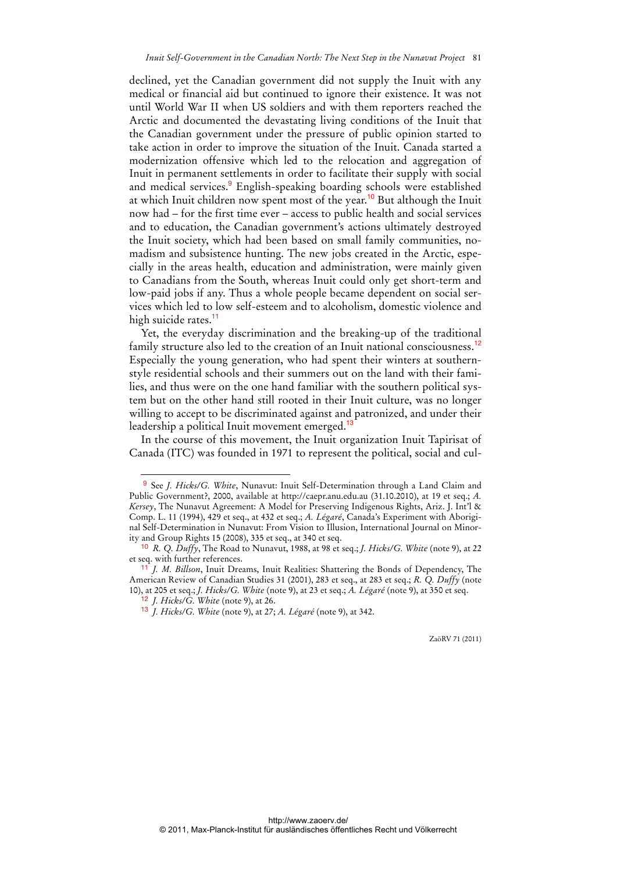declined, yet the Canadian government did not supply the Inuit with any medical or financial aid but continued to ignore their existence. It was not until World War II when US soldiers and with them reporters reached the Arctic and documented the devastating living conditions of the Inuit that the Canadian government under the pressure of public opinion started to take action in order to improve the situation of the Inuit. Canada started a modernization offensive which led to the relocation and aggregation of Inuit in permanent settlements in order to facilitate their supply with social and medical services.<sup>9</sup> English-speaking boarding schools were established at which Inuit children now spent most of the year.<sup>10</sup> But although the Inuit now had – for the first time ever – access to public health and social services and to education, the Canadian government's actions ultimately destroyed the Inuit society, which had been based on small family communities, nomadism and subsistence hunting. The new jobs created in the Arctic, especially in the areas health, education and administration, were mainly given to Canadians from the South, whereas Inuit could only get short-term and low-paid jobs if any. Thus a whole people became dependent on social services which led to low self-esteem and to alcoholism, domestic violence and high suicide rates.<sup>11</sup>

Yet, the everyday discrimination and the breaking-up of the traditional family structure also led to the creation of an Inuit national consciousness.<sup>12</sup> Especially the young generation, who had spent their winters at southernstyle residential schools and their summers out on the land with their families, and thus were on the one hand familiar with the southern political system but on the other hand still rooted in their Inuit culture, was no longer willing to accept to be discriminated against and patronized, and under their leadership a political Inuit movement emerged.<sup>13</sup>

In the course of this movement, the Inuit organization Inuit Tapirisat of Canada (ITC) was founded in 1971 to represent the political, social and cul-

 $\overline{a}$ 

<sup>9</sup> See *J. Hicks/G. White*, Nunavut: Inuit Self-Determination through a Land Claim and Public Government?, 2000, available at http://caepr.anu.edu.au (31.10.2010), at 19 et seq.; *A. Kersey*, The Nunavut Agreement: A Model for Preserving Indigenous Rights, Ariz. J. Int'l & Comp. L. 11 (1994), 429 et seq., at 432 et seq.; *A. Légaré*, Canada's Experiment with Aboriginal Self-Determination in Nunavut: From Vision to Illusion, International Journal on Minority and Group Rights 15 (2008), 335 et seq., at 340 et seq.

<sup>10</sup> *R. Q. Duffy*, The Road to Nunavut, 1988, at 98 et seq.; *J. Hicks/G. White* (note 9), at 22 et seq. with further references.

<sup>11</sup> *J. M. Billson*, Inuit Dreams, Inuit Realities: Shattering the Bonds of Dependency, The American Review of Canadian Studies 31 (2001), 283 et seq., at 283 et seq.; *R. Q. Duffy* (note 10), at 205 et seq.; *J. Hicks/G. White* (note 9), at 23 et seq.; *A. Légaré* (note 9), at 350 et seq.

<sup>12</sup> *J. Hicks/G. White* (note 9), at 26.

<sup>13</sup> *J. Hicks/G. White* (note 9), at 27; *A. Légaré* (note 9), at 342.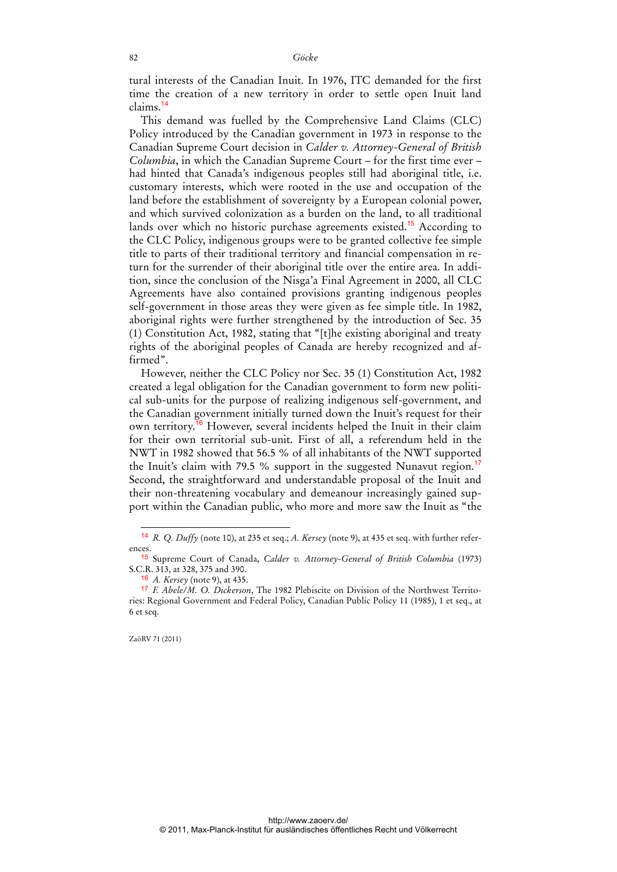tural interests of the Canadian Inuit. In 1976, ITC demanded for the first time the creation of a new territory in order to settle open Inuit land claims.<sup>14</sup>

This demand was fuelled by the Comprehensive Land Claims (CLC) Policy introduced by the Canadian government in 1973 in response to the Canadian Supreme Court decision in *Calder v. Attorney-General of British Columbia*, in which the Canadian Supreme Court – for the first time ever – had hinted that Canada's indigenous peoples still had aboriginal title, i.e. customary interests, which were rooted in the use and occupation of the land before the establishment of sovereignty by a European colonial power, and which survived colonization as a burden on the land, to all traditional lands over which no historic purchase agreements existed.<sup>15</sup> According to the CLC Policy, indigenous groups were to be granted collective fee simple title to parts of their traditional territory and financial compensation in return for the surrender of their aboriginal title over the entire area. In addition, since the conclusion of the Nisga'a Final Agreement in 2000, all CLC Agreements have also contained provisions granting indigenous peoples self-government in those areas they were given as fee simple title. In 1982, aboriginal rights were further strengthened by the introduction of Sec. 35 (1) Constitution Act, 1982, stating that "[t]he existing aboriginal and treaty rights of the aboriginal peoples of Canada are hereby recognized and affirmed".

However, neither the CLC Policy nor Sec. 35 (1) Constitution Act, 1982 created a legal obligation for the Canadian government to form new political sub-units for the purpose of realizing indigenous self-government, and the Canadian government initially turned down the Inuit's request for their own territory.<sup>16</sup> However, several incidents helped the Inuit in their claim for their own territorial sub-unit. First of all, a referendum held in the NWT in 1982 showed that 56.5 % of all inhabitants of the NWT supported the Inuit's claim with 79.5 % support in the suggested Nunavut region.<sup>17</sup> Second, the straightforward and understandable proposal of the Inuit and their non-threatening vocabulary and demeanour increasingly gained support within the Canadian public, who more and more saw the Inuit as "the

<sup>14</sup> *R. Q. Duffy* (note 10), at 235 et seq.; *A. Kersey* (note 9), at 435 et seq. with further references.

<sup>15</sup> Supreme Court of Canada, *Calder v. Attorney-General of British Columbia* (1973) S.C.R. 313, at 328, 375 and 390.

<sup>16</sup> *A. Kersey* (note 9), at 435.

<sup>17</sup> *F. Abele/M. O. Dickerson*, The 1982 Plebiscite on Division of the Northwest Territories: Regional Government and Federal Policy, Canadian Public Policy 11 (1985), 1 et seq., at 6 et seq.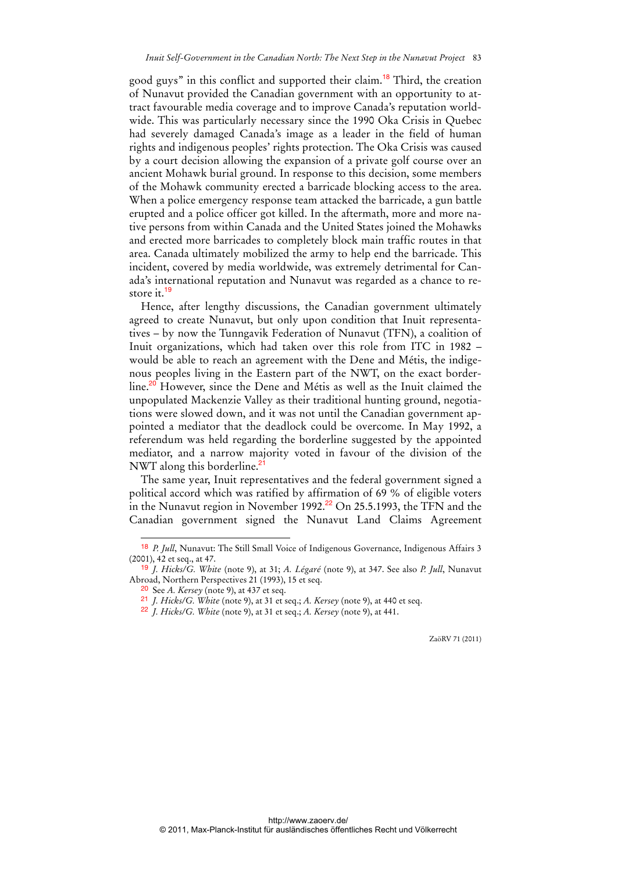good guys" in this conflict and supported their claim.<sup>18</sup> Third, the creation of Nunavut provided the Canadian government with an opportunity to attract favourable media coverage and to improve Canada's reputation worldwide. This was particularly necessary since the 1990 Oka Crisis in Quebec had severely damaged Canada's image as a leader in the field of human rights and indigenous peoples' rights protection. The Oka Crisis was caused by a court decision allowing the expansion of a private golf course over an ancient Mohawk burial ground. In response to this decision, some members of the Mohawk community erected a barricade blocking access to the area. When a police emergency response team attacked the barricade, a gun battle erupted and a police officer got killed. In the aftermath, more and more native persons from within Canada and the United States joined the Mohawks and erected more barricades to completely block main traffic routes in that area. Canada ultimately mobilized the army to help end the barricade. This incident, covered by media worldwide, was extremely detrimental for Canada's international reputation and Nunavut was regarded as a chance to restore it.<sup>19</sup>

Hence, after lengthy discussions, the Canadian government ultimately agreed to create Nunavut, but only upon condition that Inuit representatives – by now the Tunngavik Federation of Nunavut (TFN), a coalition of Inuit organizations, which had taken over this role from ITC in 1982 – would be able to reach an agreement with the Dene and Métis, the indigenous peoples living in the Eastern part of the NWT, on the exact borderline.<sup>20</sup> However, since the Dene and Métis as well as the Inuit claimed the unpopulated Mackenzie Valley as their traditional hunting ground, negotiations were slowed down, and it was not until the Canadian government appointed a mediator that the deadlock could be overcome. In May 1992, a referendum was held regarding the borderline suggested by the appointed mediator, and a narrow majority voted in favour of the division of the NWT along this borderline.<sup>2</sup>

The same year, Inuit representatives and the federal government signed a political accord which was ratified by affirmation of 69 % of eligible voters in the Nunavut region in November 1992.<sup>22</sup> On 25.5.1993, the TFN and the Canadian government signed the Nunavut Land Claims Agreement

 $\ddot{ }$ 

<sup>18</sup> *P. Jull*, Nunavut: The Still Small Voice of Indigenous Governance, Indigenous Affairs 3 (2001), 42 et seq., at 47.

<sup>19</sup> *J. Hicks/G. White* (note 9), at 31; *A. Légaré* (note 9), at 347. See also *P. Jull*, Nunavut Abroad, Northern Perspectives 21 (1993), 15 et seq.

<sup>20</sup> See *A. Kersey* (note 9), at 437 et seq.

<sup>21</sup> *J. Hicks/G. White* (note 9), at 31 et seq.; *A. Kersey* (note 9), at 440 et seq.

<sup>22</sup> *J. Hicks/G. White* (note 9), at 31 et seq.; *A. Kersey* (note 9), at 441.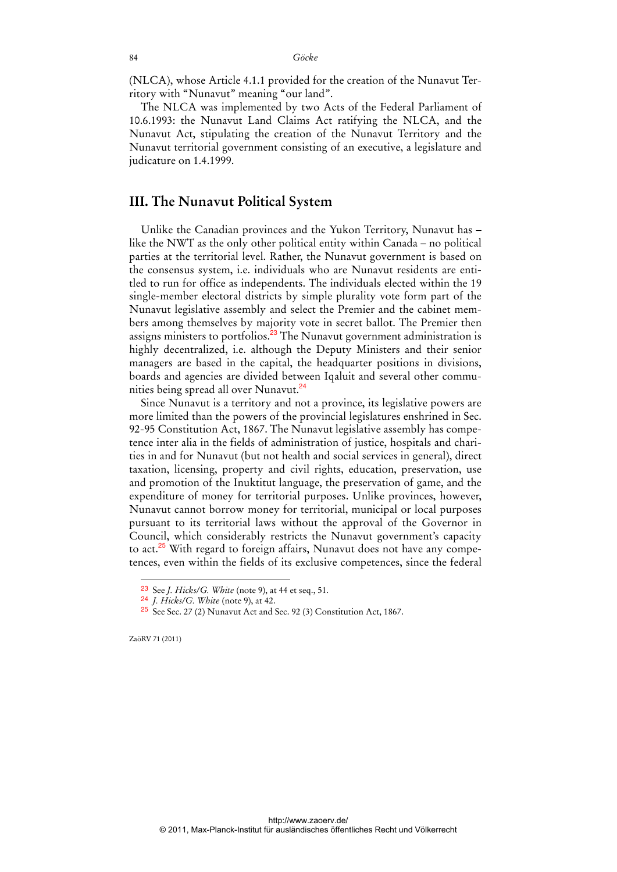(NLCA), whose Article 4.1.1 provided for the creation of the Nunavut Territory with "Nunavut" meaning "our land".

The NLCA was implemented by two Acts of the Federal Parliament of 10.6.1993: the Nunavut Land Claims Act ratifying the NLCA, and the Nunavut Act, stipulating the creation of the Nunavut Territory and the Nunavut territorial government consisting of an executive, a legislature and judicature on 1.4.1999.

# **III. The Nunavut Political System**

Unlike the Canadian provinces and the Yukon Territory, Nunavut has – like the NWT as the only other political entity within Canada – no political parties at the territorial level. Rather, the Nunavut government is based on the consensus system, i.e. individuals who are Nunavut residents are entitled to run for office as independents. The individuals elected within the 19 single-member electoral districts by simple plurality vote form part of the Nunavut legislative assembly and select the Premier and the cabinet members among themselves by majority vote in secret ballot. The Premier then assigns ministers to portfolios.<sup>23</sup> The Nunavut government administration is highly decentralized, i.e. although the Deputy Ministers and their senior managers are based in the capital, the headquarter positions in divisions, boards and agencies are divided between Iqaluit and several other communities being spread all over Nunavut.<sup>24</sup>

Since Nunavut is a territory and not a province, its legislative powers are more limited than the powers of the provincial legislatures enshrined in Sec. 92-95 Constitution Act, 1867. The Nunavut legislative assembly has competence inter alia in the fields of administration of justice, hospitals and charities in and for Nunavut (but not health and social services in general), direct taxation, licensing, property and civil rights, education, preservation, use and promotion of the Inuktitut language, the preservation of game, and the expenditure of money for territorial purposes. Unlike provinces, however, Nunavut cannot borrow money for territorial, municipal or local purposes pursuant to its territorial laws without the approval of the Governor in Council, which considerably restricts the Nunavut government's capacity to act.<sup>25</sup> With regard to foreign affairs, Nunavut does not have any competences, even within the fields of its exclusive competences, since the federal

ZaöRV 71 (2011)

<sup>23</sup> See *J. Hicks/G. White* (note 9), at 44 et seq., 51.

<sup>24</sup> *J. Hicks/G. White* (note 9), at 42.

<sup>25</sup> See Sec. 27 (2) Nunavut Act and Sec. 92 (3) Constitution Act, 1867.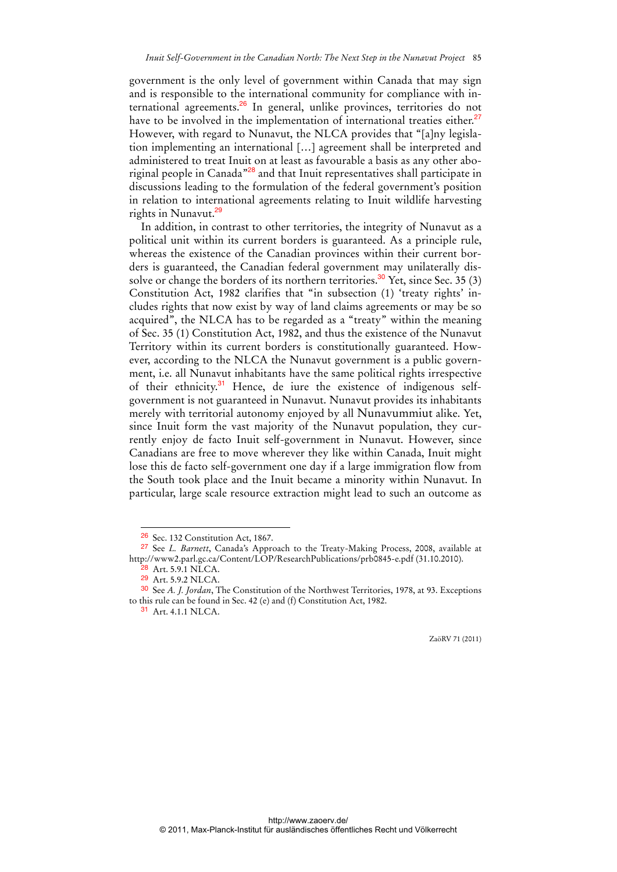government is the only level of government within Canada that may sign and is responsible to the international community for compliance with international agreements.<sup>26</sup> In general, unlike provinces, territories do not have to be involved in the implementation of international treaties either.<sup>27</sup> However, with regard to Nunavut, the NLCA provides that "[a]ny legislation implementing an international […] agreement shall be interpreted and administered to treat Inuit on at least as favourable a basis as any other aboriginal people in Canada"<sup>28</sup> and that Inuit representatives shall participate in discussions leading to the formulation of the federal government's position in relation to international agreements relating to Inuit wildlife harvesting rights in Nunavut.<sup>29</sup>

In addition, in contrast to other territories, the integrity of Nunavut as a political unit within its current borders is guaranteed. As a principle rule, whereas the existence of the Canadian provinces within their current borders is guaranteed, the Canadian federal government may unilaterally dissolve or change the borders of its northern territories.<sup>30</sup> Yet, since Sec. 35 (3) Constitution Act, 1982 clarifies that "in subsection (1) 'treaty rights' includes rights that now exist by way of land claims agreements or may be so acquired", the NLCA has to be regarded as a "treaty" within the meaning of Sec. 35 (1) Constitution Act, 1982, and thus the existence of the Nunavut Territory within its current borders is constitutionally guaranteed. However, according to the NLCA the Nunavut government is a public government, i.e. all Nunavut inhabitants have the same political rights irrespective of their ethnicity.<sup>31</sup> Hence, de iure the existence of indigenous selfgovernment is not guaranteed in Nunavut. Nunavut provides its inhabitants merely with territorial autonomy enjoyed by all Nunavummiut alike. Yet, since Inuit form the vast majority of the Nunavut population, they currently enjoy de facto Inuit self-government in Nunavut. However, since Canadians are free to move wherever they like within Canada, Inuit might lose this de facto self-government one day if a large immigration flow from the South took place and the Inuit became a minority within Nunavut. In particular, large scale resource extraction might lead to such an outcome as

 $\overline{a}$ 

31 Art. 4.1.1 NLCA.

<sup>26</sup> Sec. 132 Constitution Act, 1867.

<sup>27</sup> See *L. Barnett*, Canada's Approach to the Treaty-Making Process, 2008, available at http://www2.parl.gc.ca/Content/LOP/ResearchPublications/prb0845-e.pdf (31.10.2010).

Art. 5.9.1 NLCA.

<sup>29</sup> Art. 5.9.2 NLCA.

<sup>30</sup> See *A. J. Jordan*, The Constitution of the Northwest Territories, 1978, at 93. Exceptions to this rule can be found in Sec. 42 (e) and (f) Constitution Act, 1982.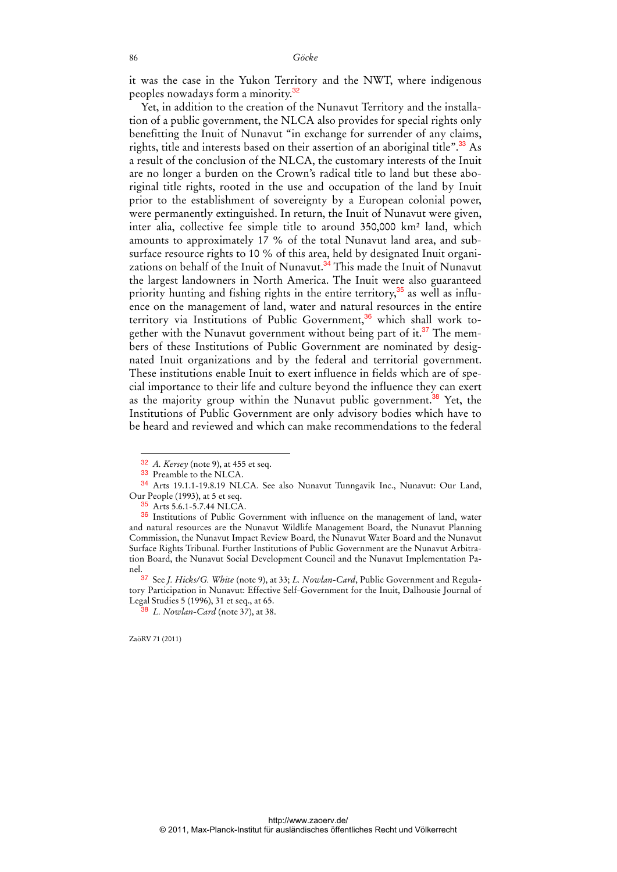it was the case in the Yukon Territory and the NWT, where indigenous peoples nowadays form a minority.<sup>32</sup>

Yet, in addition to the creation of the Nunavut Territory and the installation of a public government, the NLCA also provides for special rights only benefitting the Inuit of Nunavut "in exchange for surrender of any claims, rights, title and interests based on their assertion of an aboriginal title".<sup>33</sup> As a result of the conclusion of the NLCA, the customary interests of the Inuit are no longer a burden on the Crown's radical title to land but these aboriginal title rights, rooted in the use and occupation of the land by Inuit prior to the establishment of sovereignty by a European colonial power, were permanently extinguished. In return, the Inuit of Nunavut were given, inter alia, collective fee simple title to around 350,000 km2 land, which amounts to approximately 17 % of the total Nunavut land area, and subsurface resource rights to 10 % of this area, held by designated Inuit organizations on behalf of the Inuit of Nunavut.<sup>34</sup> This made the Inuit of Nunavut the largest landowners in North America. The Inuit were also guaranteed priority hunting and fishing rights in the entire territory,  $35$  as well as influence on the management of land, water and natural resources in the entire territory via Institutions of Public Government,<sup>36</sup> which shall work together with the Nunavut government without being part of it. $37$  The members of these Institutions of Public Government are nominated by designated Inuit organizations and by the federal and territorial government. These institutions enable Inuit to exert influence in fields which are of special importance to their life and culture beyond the influence they can exert as the majority group within the Nunavut public government.<sup>38</sup> Yet, the Institutions of Public Government are only advisory bodies which have to be heard and reviewed and which can make recommendations to the federal

ZaöRV 71 (2011)

<sup>32</sup> *A. Kersey* (note 9), at 455 et seq.

<sup>33</sup> Preamble to the NLCA.

<sup>34</sup> Arts 19.1.1-19.8.19 NLCA. See also Nunavut Tunngavik Inc., Nunavut: Our Land, Our People (1993), at 5 et seq.

 $35$  Arts 5.6.1-5.7.44 NLCA.

<sup>36</sup> Institutions of Public Government with influence on the management of land, water and natural resources are the Nunavut Wildlife Management Board, the Nunavut Planning Commission, the Nunavut Impact Review Board, the Nunavut Water Board and the Nunavut Surface Rights Tribunal. Further Institutions of Public Government are the Nunavut Arbitration Board, the Nunavut Social Development Council and the Nunavut Implementation Panel.

<sup>37</sup> See *J. Hicks/G. White* (note 9), at 33; *L. Nowlan-Card*, Public Government and Regulatory Participation in Nunavut: Effective Self-Government for the Inuit, Dalhousie Journal of Legal Studies 5 (1996), 31 et seq., at 65.

<sup>38</sup> *L. Nowlan-Card* (note 37), at 38.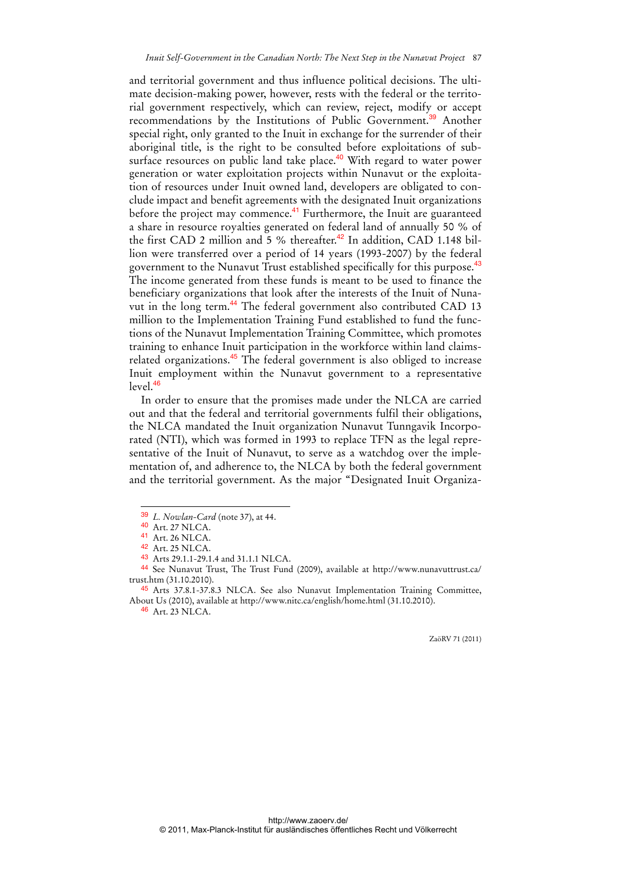and territorial government and thus influence political decisions. The ultimate decision-making power, however, rests with the federal or the territorial government respectively, which can review, reject, modify or accept recommendations by the Institutions of Public Government.<sup>39</sup> Another special right, only granted to the Inuit in exchange for the surrender of their aboriginal title, is the right to be consulted before exploitations of subsurface resources on public land take place.<sup>40</sup> With regard to water power generation or water exploitation projects within Nunavut or the exploitation of resources under Inuit owned land, developers are obligated to conclude impact and benefit agreements with the designated Inuit organizations before the project may commence.<sup>41</sup> Furthermore, the Inuit are guaranteed a share in resource royalties generated on federal land of annually 50 % of the first CAD 2 million and 5 % thereafter.<sup>42</sup> In addition, CAD 1.148 billion were transferred over a period of 14 years (1993-2007) by the federal government to the Nunavut Trust established specifically for this purpose.<sup>43</sup> The income generated from these funds is meant to be used to finance the beneficiary organizations that look after the interests of the Inuit of Nunavut in the long term.<sup>44</sup> The federal government also contributed CAD 13 million to the Implementation Training Fund established to fund the functions of the Nunavut Implementation Training Committee, which promotes training to enhance Inuit participation in the workforce within land claimsrelated organizations.<sup>45</sup> The federal government is also obliged to increase Inuit employment within the Nunavut government to a representative  $level<sup>46</sup>$ 

In order to ensure that the promises made under the NLCA are carried out and that the federal and territorial governments fulfil their obligations, the NLCA mandated the Inuit organization Nunavut Tunngavik Incorporated (NTI), which was formed in 1993 to replace TFN as the legal representative of the Inuit of Nunavut, to serve as a watchdog over the implementation of, and adherence to, the NLCA by both the federal government and the territorial government. As the major "Designated Inuit Organiza-

 $\overline{a}$ 

46 Art. 23 NLCA.

<sup>39</sup> *L. Nowlan-Card* (note 37), at 44.

<sup>40</sup> Art. 27 NLCA.

<sup>41</sup> Art. 26 NLCA. 42 Art. 25 NLCA.

<sup>43</sup> Arts 29.1.1-29.1.4 and 31.1.1 NLCA.

<sup>44</sup> See Nunavut Trust, The Trust Fund (2009), available at http://www.nunavuttrust.ca/ trust.htm (31.10.2010).

<sup>45</sup> Arts 37.8.1-37.8.3 NLCA. See also Nunavut Implementation Training Committee, About Us (2010), available at http://www.nitc.ca/english/home.html (31.10.2010).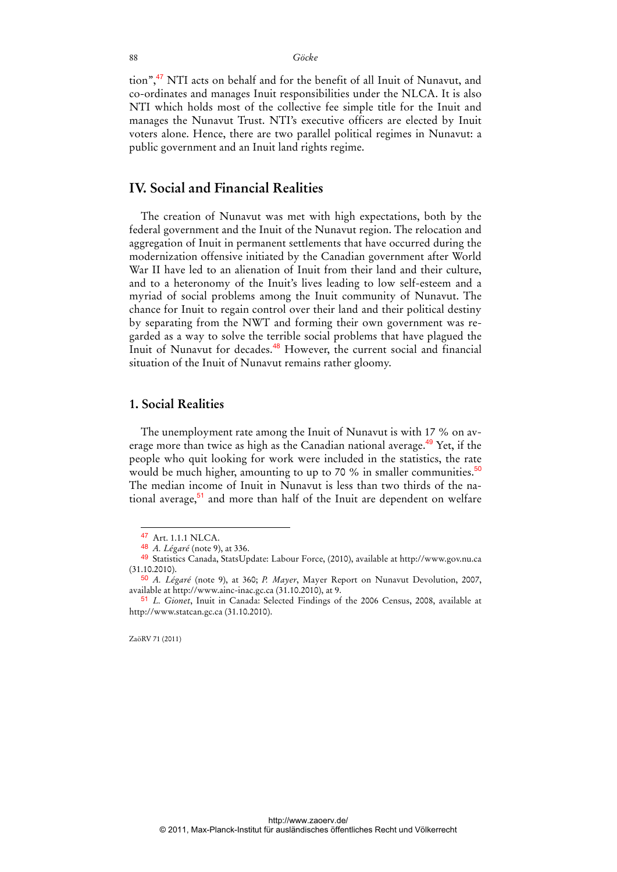#### 88 *Göcke*

tion",<sup>47</sup> NTI acts on behalf and for the benefit of all Inuit of Nunavut, and co-ordinates and manages Inuit responsibilities under the NLCA. It is also NTI which holds most of the collective fee simple title for the Inuit and manages the Nunavut Trust. NTI's executive officers are elected by Inuit voters alone. Hence, there are two parallel political regimes in Nunavut: a public government and an Inuit land rights regime.

# **IV. Social and Financial Realities**

The creation of Nunavut was met with high expectations, both by the federal government and the Inuit of the Nunavut region. The relocation and aggregation of Inuit in permanent settlements that have occurred during the modernization offensive initiated by the Canadian government after World War II have led to an alienation of Inuit from their land and their culture, and to a heteronomy of the Inuit's lives leading to low self-esteem and a myriad of social problems among the Inuit community of Nunavut. The chance for Inuit to regain control over their land and their political destiny by separating from the NWT and forming their own government was regarded as a way to solve the terrible social problems that have plagued the Inuit of Nunavut for decades.<sup>48</sup> However, the current social and financial situation of the Inuit of Nunavut remains rather gloomy.

### **1. Social Realities**

The unemployment rate among the Inuit of Nunavut is with 17 % on average more than twice as high as the Canadian national average.<sup>49</sup> Yet, if the people who quit looking for work were included in the statistics, the rate would be much higher, amounting to up to 70 % in smaller communities.<sup>50</sup> The median income of Inuit in Nunavut is less than two thirds of the national average,<sup>51</sup> and more than half of the Inuit are dependent on welfare

ZaöRV 71 (2011)

<sup>&</sup>lt;sup>47</sup> Art. 1.1.1 NLCA.

<sup>48</sup> *A. Légaré* (note 9), at 336.

<sup>49</sup> Statistics Canada, StatsUpdate: Labour Force, (2010), available at http://www.gov.nu.ca (31.10.2010).

<sup>50</sup> *A. Légaré* (note 9), at 360; *P. Mayer*, Mayer Report on Nunavut Devolution, 2007, available at http://www.ainc-inac.gc.ca (31.10.2010), at 9.

<sup>51</sup> *L. Gionet*, Inuit in Canada: Selected Findings of the 2006 Census, 2008, available at http://www.statcan.gc.ca (31.10.2010).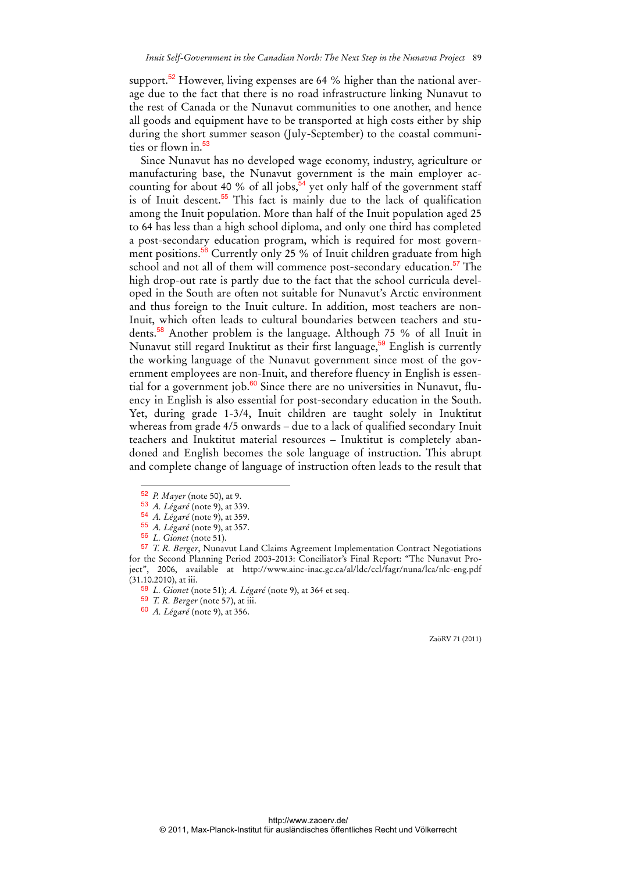support.<sup>52</sup> However, living expenses are 64 % higher than the national average due to the fact that there is no road infrastructure linking Nunavut to the rest of Canada or the Nunavut communities to one another, and hence all goods and equipment have to be transported at high costs either by ship during the short summer season (July-September) to the coastal communities or flown in.<sup>53</sup>

Since Nunavut has no developed wage economy, industry, agriculture or manufacturing base, the Nunavut government is the main employer accounting for about 40 % of all jobs,  $\frac{5}{4}$  yet only half of the government staff is of Inuit descent.<sup>55</sup> This fact is mainly due to the lack of qualification among the Inuit population. More than half of the Inuit population aged 25 to 64 has less than a high school diploma, and only one third has completed a post-secondary education program, which is required for most government positions.<sup>56</sup> Currently only 25 % of Inuit children graduate from high school and not all of them will commence post-secondary education.<sup>57</sup> The high drop-out rate is partly due to the fact that the school curricula developed in the South are often not suitable for Nunavut's Arctic environment and thus foreign to the Inuit culture. In addition, most teachers are non-Inuit, which often leads to cultural boundaries between teachers and students.<sup>58</sup> Another problem is the language. Although 75 % of all Inuit in Nunavut still regard Inuktitut as their first language,  $59$  English is currently the working language of the Nunavut government since most of the government employees are non-Inuit, and therefore fluency in English is essential for a government job. $60$  Since there are no universities in Nunavut, fluency in English is also essential for post-secondary education in the South. Yet, during grade 1-3/4, Inuit children are taught solely in Inuktitut whereas from grade 4/5 onwards – due to a lack of qualified secondary Inuit teachers and Inuktitut material resources – Inuktitut is completely abandoned and English becomes the sole language of instruction. This abrupt and complete change of language of instruction often leads to the result that

 $\overline{a}$ 

<sup>52</sup> *P. Mayer* (note 50), at 9.

<sup>53</sup> *A. Légaré* (note 9), at 339.

<sup>54</sup> *A. Légaré* (note 9), at 359.

<sup>55</sup> *A. Légaré* (note 9), at 357.

<sup>56</sup> *L. Gionet* (note 51).

<sup>57</sup> *T. R. Berger*, Nunavut Land Claims Agreement Implementation Contract Negotiations for the Second Planning Period 2003-2013: Conciliator's Final Report: "The Nunavut Project", 2006, available at http://www.ainc-inac.gc.ca/al/ldc/ccl/fagr/nuna/lca/nlc-eng.pdf (31.10.2010), at iii.

<sup>58</sup> *L. Gionet* (note 51); *A. Légaré* (note 9), at 364 et seq.

<sup>59</sup> *T. R. Berger* (note 57), at iii.

<sup>60</sup> *A. Légaré* (note 9), at 356.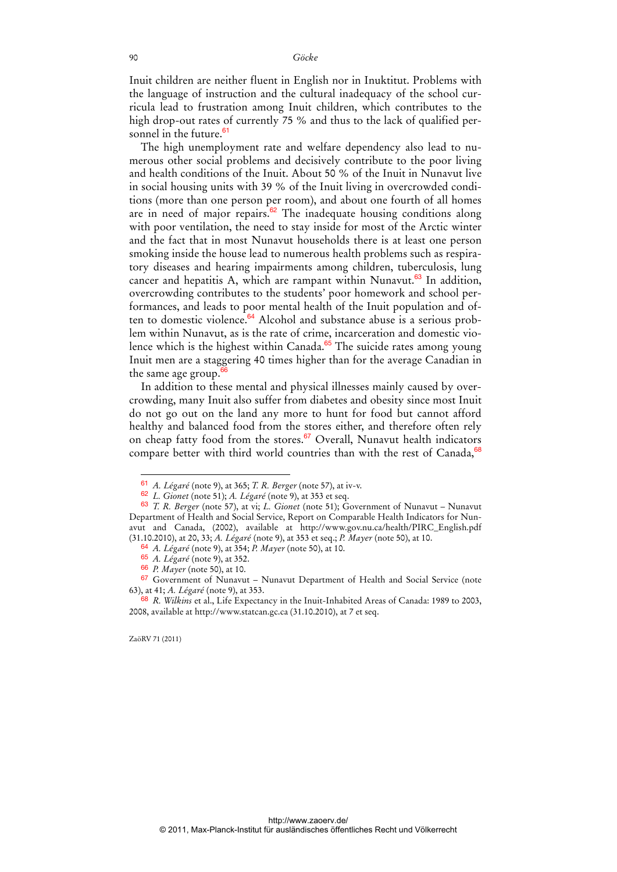Inuit children are neither fluent in English nor in Inuktitut. Problems with the language of instruction and the cultural inadequacy of the school curricula lead to frustration among Inuit children, which contributes to the high drop-out rates of currently 75 % and thus to the lack of qualified personnel in the future.<sup>61</sup>

The high unemployment rate and welfare dependency also lead to numerous other social problems and decisively contribute to the poor living and health conditions of the Inuit. About 50 % of the Inuit in Nunavut live in social housing units with 39 % of the Inuit living in overcrowded conditions (more than one person per room), and about one fourth of all homes are in need of major repairs.<sup>62</sup> The inadequate housing conditions along with poor ventilation, the need to stay inside for most of the Arctic winter and the fact that in most Nunavut households there is at least one person smoking inside the house lead to numerous health problems such as respiratory diseases and hearing impairments among children, tuberculosis, lung cancer and hepatitis A, which are rampant within Nunavut.<sup>63</sup> In addition, overcrowding contributes to the students' poor homework and school performances, and leads to poor mental health of the Inuit population and often to domestic violence.<sup>64</sup> Alcohol and substance abuse is a serious problem within Nunavut, as is the rate of crime, incarceration and domestic violence which is the highest within Canada. $65$  The suicide rates among young Inuit men are a staggering 40 times higher than for the average Canadian in the same age group.<sup>6</sup>

In addition to these mental and physical illnesses mainly caused by overcrowding, many Inuit also suffer from diabetes and obesity since most Inuit do not go out on the land any more to hunt for food but cannot afford healthy and balanced food from the stores either, and therefore often rely on cheap fatty food from the stores.<sup>67</sup> Overall, Nunavut health indicators compare better with third world countries than with the rest of Canada,<sup>68</sup>

ZaöRV 71 (2011)

<sup>61</sup> *A. Légaré* (note 9), at 365; *T. R. Berger* (note 57), at iv-v.

<sup>62</sup> *L. Gionet* (note 51); *A. Légaré* (note 9), at 353 et seq.

<sup>63</sup> *T. R. Berger* (note 57), at vi; *L. Gionet* (note 51); Government of Nunavut – Nunavut Department of Health and Social Service, Report on Comparable Health Indicators for Nunavut and Canada, (2002), available at http://www.gov.nu.ca/health/PIRC\_English.pdf (31.10.2010), at 20, 33; *A. Légaré* (note 9), at 353 et seq.; *P. Mayer* (note 50), at 10.

<sup>64</sup> *A. Légaré* (note 9), at 354; *P. Mayer* (note 50), at 10.

<sup>65</sup> *A. Légaré* (note 9), at 352.

<sup>66</sup> *P. Mayer* (note 50), at 10.

<sup>67</sup> Government of Nunavut – Nunavut Department of Health and Social Service (note 63), at 41; *A. Légaré* (note 9), at 353.

<sup>68</sup> *R. Wilkins* et al., Life Expectancy in the Inuit-Inhabited Areas of Canada: 1989 to 2003, 2008, available at http://www.statcan.gc.ca (31.10.2010), at 7 et seq.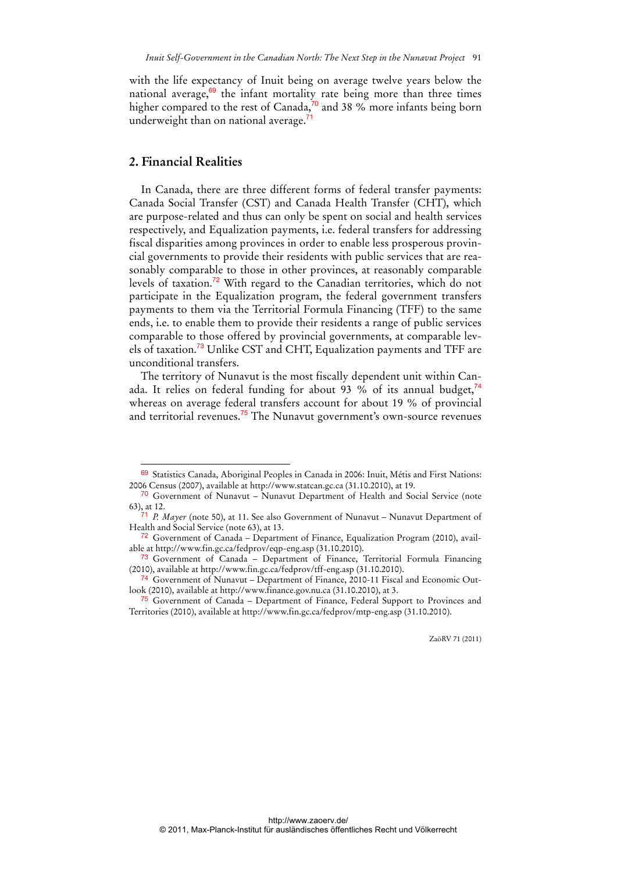with the life expectancy of Inuit being on average twelve years below the national average,  $69$  the infant mortality rate being more than three times higher compared to the rest of Canada, $\frac{70}{2}$  and 38 % more infants being born underweight than on national average.<sup>71</sup>

#### **2. Financial Realities**

 $\overline{a}$ 

In Canada, there are three different forms of federal transfer payments: Canada Social Transfer (CST) and Canada Health Transfer (CHT), which are purpose-related and thus can only be spent on social and health services respectively, and Equalization payments, i.e. federal transfers for addressing fiscal disparities among provinces in order to enable less prosperous provincial governments to provide their residents with public services that are reasonably comparable to those in other provinces, at reasonably comparable levels of taxation.<sup>72</sup> With regard to the Canadian territories, which do not participate in the Equalization program, the federal government transfers payments to them via the Territorial Formula Financing (TFF) to the same ends, i.e. to enable them to provide their residents a range of public services comparable to those offered by provincial governments, at comparable levels of taxation.<sup>73</sup> Unlike CST and CHT, Equalization payments and TFF are unconditional transfers.

The territory of Nunavut is the most fiscally dependent unit within Canada. It relies on federal funding for about 93 % of its annual budget,  $74$ whereas on average federal transfers account for about 19 % of provincial and territorial revenues.<sup>75</sup> The Nunavut government's own-source revenues

<sup>69</sup> Statistics Canada, Aboriginal Peoples in Canada in 2006: Inuit, Métis and First Nations: 2006 Census (2007), available at http://www.statcan.gc.ca (31.10.2010), at 19.

<sup>&</sup>lt;sup>70</sup> Government of Nunavut – Nunavut Department of Health and Social Service (note 63), at 12.

<sup>71</sup> *P. Mayer* (note 50), at 11. See also Government of Nunavut – Nunavut Department of Health and Social Service (note 63), at 13.

<sup>72</sup> Government of Canada – Department of Finance, Equalization Program (2010), available at http://www.fin.gc.ca/fedprov/eqp-eng.asp (31.10.2010).

<sup>73</sup> Government of Canada - Department of Finance, Territorial Formula Financing (2010), available at http://www.fin.gc.ca/fedprov/tff-eng.asp (31.10.2010).

 $74$  Government of Nunavut – Department of Finance, 2010-11 Fiscal and Economic Outlook (2010), available at http://www.finance.gov.nu.ca (31.10.2010), at 3.

<sup>&</sup>lt;sup>75</sup> Government of Canada – Department of Finance, Federal Support to Provinces and Territories (2010), available at http://www.fin.gc.ca/fedprov/mtp-eng.asp (31.10.2010).

ZaöRV 71 (2011)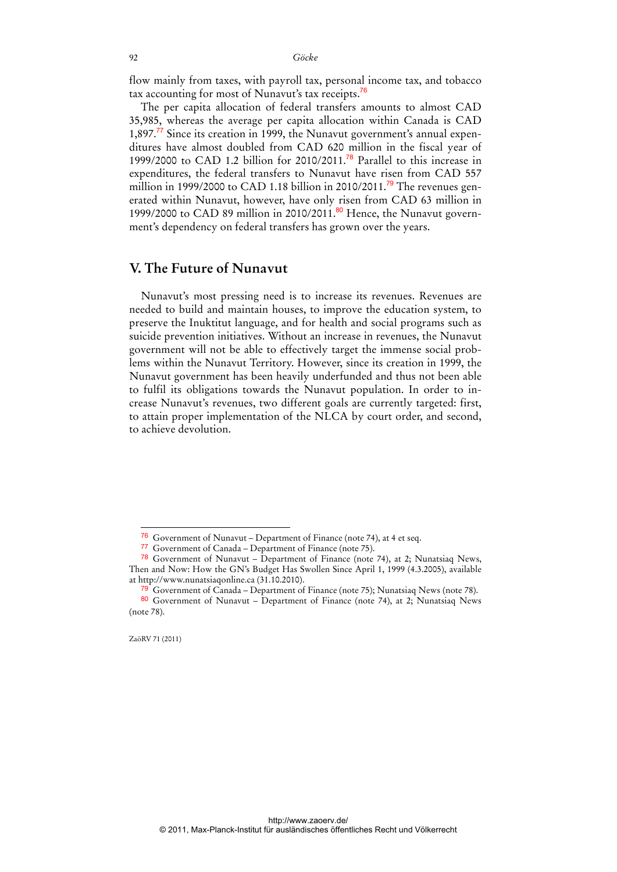92 *Göcke* 

flow mainly from taxes, with payroll tax, personal income tax, and tobacco tax accounting for most of Nunavut's tax receipts.<sup>76</sup>

The per capita allocation of federal transfers amounts to almost CAD 35,985, whereas the average per capita allocation within Canada is CAD 1,897.<sup>77</sup> Since its creation in 1999, the Nunavut government's annual expenditures have almost doubled from CAD 620 million in the fiscal year of 1999/2000 to CAD 1.2 billion for 2010/2011.<sup>78</sup> Parallel to this increase in expenditures, the federal transfers to Nunavut have risen from CAD 557 million in 1999/2000 to CAD 1.18 billion in 2010/2011.<sup>79</sup> The revenues generated within Nunavut, however, have only risen from CAD 63 million in 1999/2000 to CAD 89 million in 2010/2011.<sup>80</sup> Hence, the Nunavut government's dependency on federal transfers has grown over the years.

# **V. The Future of Nunavut**

Nunavut's most pressing need is to increase its revenues. Revenues are needed to build and maintain houses, to improve the education system, to preserve the Inuktitut language, and for health and social programs such as suicide prevention initiatives. Without an increase in revenues, the Nunavut government will not be able to effectively target the immense social problems within the Nunavut Territory. However, since its creation in 1999, the Nunavut government has been heavily underfunded and thus not been able to fulfil its obligations towards the Nunavut population. In order to increase Nunavut's revenues, two different goals are currently targeted: first, to attain proper implementation of the NLCA by court order, and second, to achieve devolution.

ZaöRV 71 (2011)

 $\ddot{ }$ 

<sup>76</sup> Government of Nunavut – Department of Finance (note 74), at 4 et seq.

<sup>77</sup> Government of Canada – Department of Finance (note 75).

<sup>78</sup> Government of Nunavut – Department of Finance (note 74), at 2; Nunatsiaq News, Then and Now: How the GN's Budget Has Swollen Since April 1, 1999 (4.3.2005), available at http://www.nunatsiaqonline.ca (31.10.2010).

 $^{79}$  Government of Canada – Department of Finance (note 75); Nunatsiag News (note 78).

<sup>80</sup> Government of Nunavut – Department of Finance (note 74), at 2; Nunatsiaq News (note 78).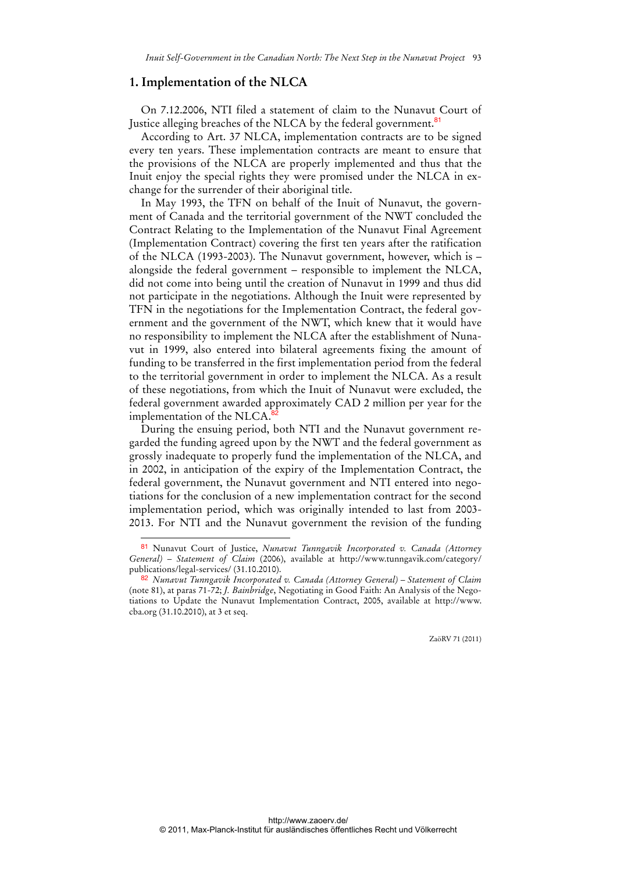#### **1. Implementation of the NLCA**

 $\ddot{ }$ 

On 7.12.2006, NTI filed a statement of claim to the Nunavut Court of Justice alleging breaches of the NLCA by the federal government.<sup>81</sup>

According to Art. 37 NLCA, implementation contracts are to be signed every ten years. These implementation contracts are meant to ensure that the provisions of the NLCA are properly implemented and thus that the Inuit enjoy the special rights they were promised under the NLCA in exchange for the surrender of their aboriginal title.

In May 1993, the TFN on behalf of the Inuit of Nunavut, the government of Canada and the territorial government of the NWT concluded the Contract Relating to the Implementation of the Nunavut Final Agreement (Implementation Contract) covering the first ten years after the ratification of the NLCA (1993-2003). The Nunavut government, however, which is – alongside the federal government – responsible to implement the NLCA, did not come into being until the creation of Nunavut in 1999 and thus did not participate in the negotiations. Although the Inuit were represented by TFN in the negotiations for the Implementation Contract, the federal government and the government of the NWT, which knew that it would have no responsibility to implement the NLCA after the establishment of Nunavut in 1999, also entered into bilateral agreements fixing the amount of funding to be transferred in the first implementation period from the federal to the territorial government in order to implement the NLCA. As a result of these negotiations, from which the Inuit of Nunavut were excluded, the federal government awarded approximately CAD 2 million per year for the implementation of the NLCA.<sup>82</sup>

During the ensuing period, both NTI and the Nunavut government regarded the funding agreed upon by the NWT and the federal government as grossly inadequate to properly fund the implementation of the NLCA, and in 2002, in anticipation of the expiry of the Implementation Contract, the federal government, the Nunavut government and NTI entered into negotiations for the conclusion of a new implementation contract for the second implementation period, which was originally intended to last from 2003- 2013. For NTI and the Nunavut government the revision of the funding

<sup>81</sup> Nunavut Court of Justice, *Nunavut Tunngavik Incorporated v. Canada (Attorney General) – Statement of Claim* (2006), available at http://www.tunngavik.com/category/ publications/legal-services/ (31.10.2010).

<sup>82</sup> *Nunavut Tunngavik Incorporated v. Canada (Attorney General) – Statement of Claim* (note 81), at paras 71-72; *J. Bainbridge*, Negotiating in Good Faith: An Analysis of the Negotiations to Update the Nunavut Implementation Contract, 2005, available at http://www. cba.org (31.10.2010), at 3 et seq.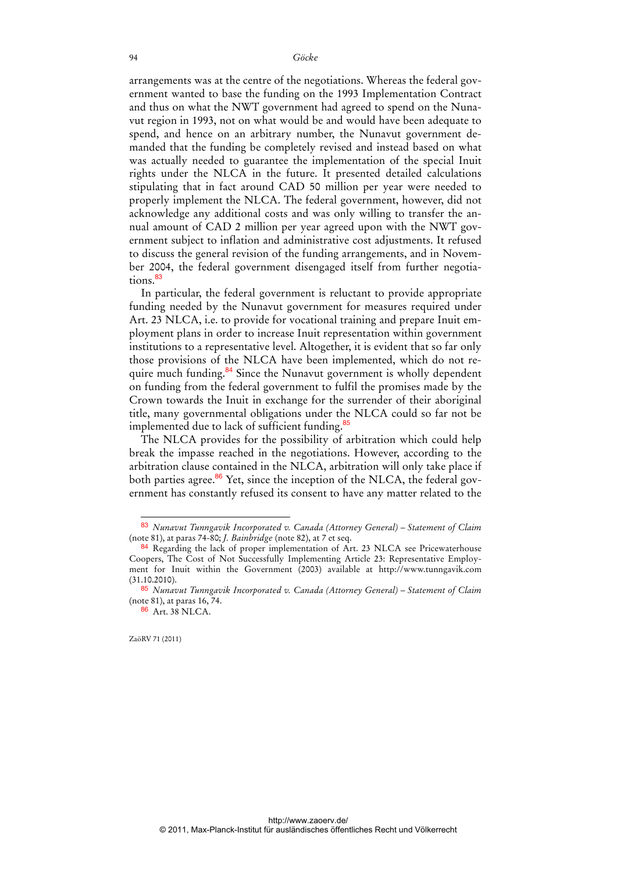arrangements was at the centre of the negotiations. Whereas the federal government wanted to base the funding on the 1993 Implementation Contract and thus on what the NWT government had agreed to spend on the Nunavut region in 1993, not on what would be and would have been adequate to spend, and hence on an arbitrary number, the Nunavut government demanded that the funding be completely revised and instead based on what was actually needed to guarantee the implementation of the special Inuit rights under the NLCA in the future. It presented detailed calculations stipulating that in fact around CAD 50 million per year were needed to properly implement the NLCA. The federal government, however, did not acknowledge any additional costs and was only willing to transfer the annual amount of CAD 2 million per year agreed upon with the NWT government subject to inflation and administrative cost adjustments. It refused to discuss the general revision of the funding arrangements, and in November 2004, the federal government disengaged itself from further negotiations<sup>83</sup>

In particular, the federal government is reluctant to provide appropriate funding needed by the Nunavut government for measures required under Art. 23 NLCA, i.e. to provide for vocational training and prepare Inuit employment plans in order to increase Inuit representation within government institutions to a representative level. Altogether, it is evident that so far only those provisions of the NLCA have been implemented, which do not require much funding.<sup>84</sup> Since the Nunavut government is wholly dependent on funding from the federal government to fulfil the promises made by the Crown towards the Inuit in exchange for the surrender of their aboriginal title, many governmental obligations under the NLCA could so far not be implemented due to lack of sufficient funding.<sup>85</sup>

The NLCA provides for the possibility of arbitration which could help break the impasse reached in the negotiations. However, according to the arbitration clause contained in the NLCA, arbitration will only take place if both parties agree.<sup>86</sup> Yet, since the inception of the NLCA, the federal government has constantly refused its consent to have any matter related to the

<sup>83</sup> *Nunavut Tunngavik Incorporated v. Canada (Attorney General) – Statement of Claim* (note 81), at paras 74-80; *J. Bainbridge* (note 82), at 7 et seq.

<sup>84</sup> Regarding the lack of proper implementation of Art. 23 NLCA see Pricewaterhouse Coopers, The Cost of Not Successfully Implementing Article 23: Representative Employment for Inuit within the Government (2003) available at http://www.tunngavik.com (31.10.2010).

<sup>85</sup> *Nunavut Tunngavik Incorporated v. Canada (Attorney General) – Statement of Claim* (note 81), at paras 16, 74.

<sup>86</sup> Art. 38 NLCA.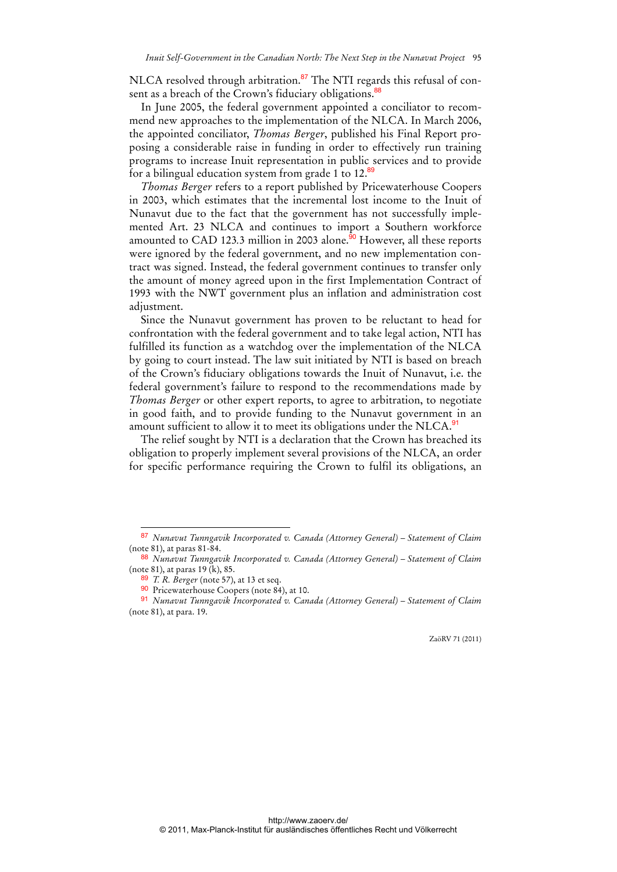NLCA resolved through arbitration.<sup>87</sup> The NTI regards this refusal of consent as a breach of the Crown's fiduciary obligations.<sup>88</sup>

In June 2005, the federal government appointed a conciliator to recommend new approaches to the implementation of the NLCA. In March 2006, the appointed conciliator, *Thomas Berger*, published his Final Report proposing a considerable raise in funding in order to effectively run training programs to increase Inuit representation in public services and to provide for a bilingual education system from grade 1 to  $12<sup>89</sup>$ 

*Thomas Berger* refers to a report published by Pricewaterhouse Coopers in 2003, which estimates that the incremental lost income to the Inuit of Nunavut due to the fact that the government has not successfully implemented Art. 23 NLCA and continues to import a Southern workforce amounted to CAD 123.3 million in 2003 alone.<sup>90</sup> However, all these reports were ignored by the federal government, and no new implementation contract was signed. Instead, the federal government continues to transfer only the amount of money agreed upon in the first Implementation Contract of 1993 with the NWT government plus an inflation and administration cost adjustment.

Since the Nunavut government has proven to be reluctant to head for confrontation with the federal government and to take legal action, NTI has fulfilled its function as a watchdog over the implementation of the NLCA by going to court instead. The law suit initiated by NTI is based on breach of the Crown's fiduciary obligations towards the Inuit of Nunavut, i.e. the federal government's failure to respond to the recommendations made by *Thomas Berger* or other expert reports, to agree to arbitration, to negotiate in good faith, and to provide funding to the Nunavut government in an amount sufficient to allow it to meet its obligations under the NLCA.<sup>91</sup>

The relief sought by NTI is a declaration that the Crown has breached its obligation to properly implement several provisions of the NLCA, an order for specific performance requiring the Crown to fulfil its obligations, an

<sup>87</sup> *Nunavut Tunngavik Incorporated v. Canada (Attorney General) – Statement of Claim* (note 81), at paras 81-84.

<sup>88</sup> *Nunavut Tunngavik Incorporated v. Canada (Attorney General) – Statement of Claim* (note 81), at paras 19 (k), 85.

<sup>89</sup> *T. R. Berger* (note 57), at 13 et seq.

<sup>90</sup> Pricewaterhouse Coopers (note 84), at 10.

<sup>91</sup> *Nunavut Tunngavik Incorporated v. Canada (Attorney General) – Statement of Claim* (note 81), at para. 19.

ZaöRV 71 (2011)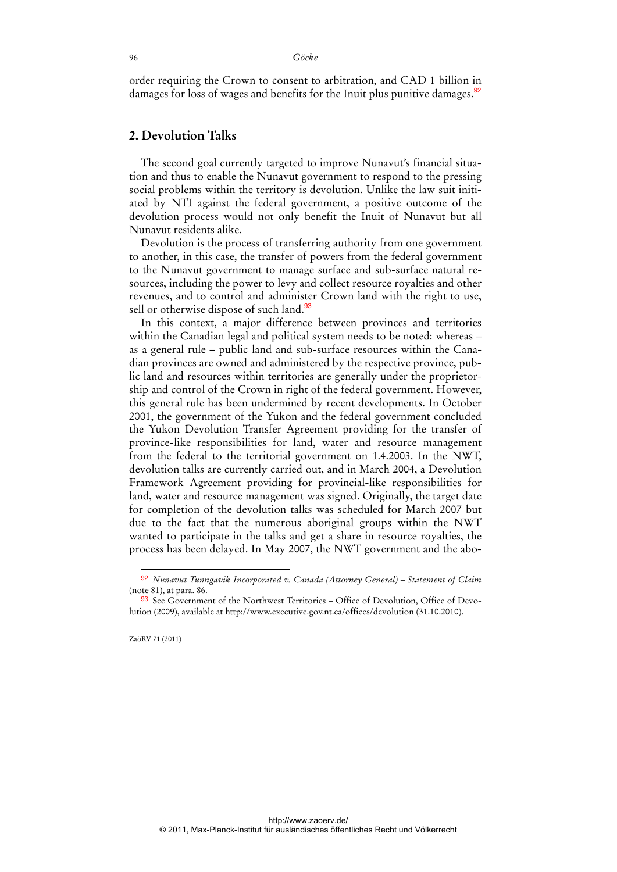order requiring the Crown to consent to arbitration, and CAD 1 billion in damages for loss of wages and benefits for the Inuit plus punitive damages.<sup>92</sup>

#### **2. Devolution Talks**

The second goal currently targeted to improve Nunavut's financial situation and thus to enable the Nunavut government to respond to the pressing social problems within the territory is devolution. Unlike the law suit initiated by NTI against the federal government, a positive outcome of the devolution process would not only benefit the Inuit of Nunavut but all Nunavut residents alike.

Devolution is the process of transferring authority from one government to another, in this case, the transfer of powers from the federal government to the Nunavut government to manage surface and sub-surface natural resources, including the power to levy and collect resource royalties and other revenues, and to control and administer Crown land with the right to use, sell or otherwise dispose of such land.<sup>93</sup>

In this context, a major difference between provinces and territories within the Canadian legal and political system needs to be noted: whereas – as a general rule – public land and sub-surface resources within the Canadian provinces are owned and administered by the respective province, public land and resources within territories are generally under the proprietorship and control of the Crown in right of the federal government. However, this general rule has been undermined by recent developments. In October 2001, the government of the Yukon and the federal government concluded the Yukon Devolution Transfer Agreement providing for the transfer of province-like responsibilities for land, water and resource management from the federal to the territorial government on 1.4.2003. In the NWT, devolution talks are currently carried out, and in March 2004, a Devolution Framework Agreement providing for provincial-like responsibilities for land, water and resource management was signed. Originally, the target date for completion of the devolution talks was scheduled for March 2007 but due to the fact that the numerous aboriginal groups within the NWT wanted to participate in the talks and get a share in resource royalties, the process has been delayed. In May 2007, the NWT government and the abo-

<sup>92</sup> *Nunavut Tunngavik Incorporated v. Canada (Attorney General) – Statement of Claim* (note 81), at para. 86.

<sup>93</sup> See Government of the Northwest Territories - Office of Devolution, Office of Devolution (2009), available at http://www.executive.gov.nt.ca/offices/devolution (31.10.2010).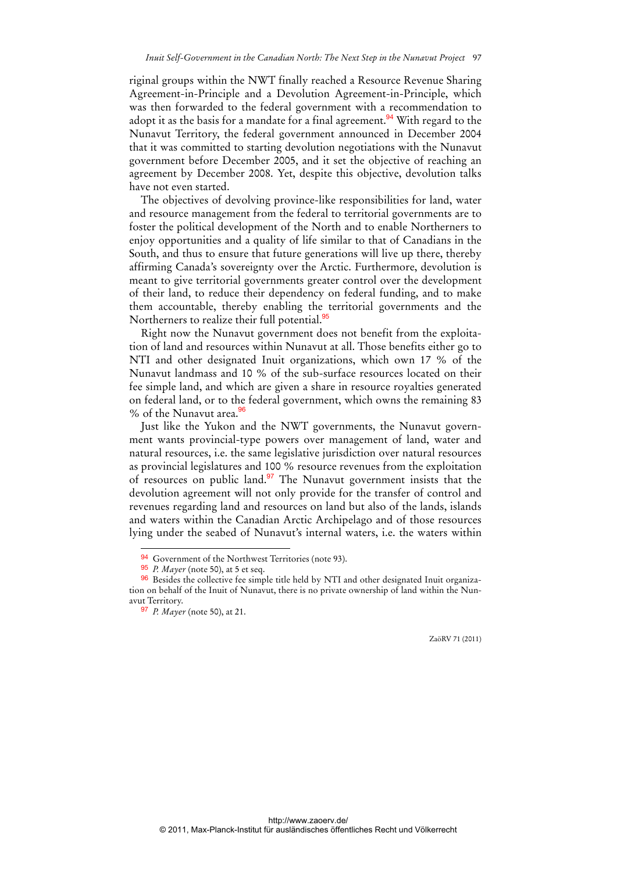riginal groups within the NWT finally reached a Resource Revenue Sharing Agreement-in-Principle and a Devolution Agreement-in-Principle, which was then forwarded to the federal government with a recommendation to adopt it as the basis for a mandate for a final agreement.<sup>94</sup> With regard to the Nunavut Territory, the federal government announced in December 2004 that it was committed to starting devolution negotiations with the Nunavut government before December 2005, and it set the objective of reaching an agreement by December 2008. Yet, despite this objective, devolution talks have not even started.

The objectives of devolving province-like responsibilities for land, water and resource management from the federal to territorial governments are to foster the political development of the North and to enable Northerners to enjoy opportunities and a quality of life similar to that of Canadians in the South, and thus to ensure that future generations will live up there, thereby affirming Canada's sovereignty over the Arctic. Furthermore, devolution is meant to give territorial governments greater control over the development of their land, to reduce their dependency on federal funding, and to make them accountable, thereby enabling the territorial governments and the Northerners to realize their full potential.<sup>95</sup>

Right now the Nunavut government does not benefit from the exploitation of land and resources within Nunavut at all. Those benefits either go to NTI and other designated Inuit organizations, which own 17 % of the Nunavut landmass and 10 % of the sub-surface resources located on their fee simple land, and which are given a share in resource royalties generated on federal land, or to the federal government, which owns the remaining 83 % of the Nunavut area.<sup>96</sup>

Just like the Yukon and the NWT governments, the Nunavut government wants provincial-type powers over management of land, water and natural resources, i.e. the same legislative jurisdiction over natural resources as provincial legislatures and 100 % resource revenues from the exploitation of resources on public land.<sup>97</sup> The Nunavut government insists that the devolution agreement will not only provide for the transfer of control and revenues regarding land and resources on land but also of the lands, islands and waters within the Canadian Arctic Archipelago and of those resources lying under the seabed of Nunavut's internal waters, i.e. the waters within

 $\ddot{ }$ 

<sup>94</sup> Government of the Northwest Territories (note 93).

<sup>95</sup> *P. Mayer* (note 50), at 5 et seq.

<sup>96</sup> Besides the collective fee simple title held by NTI and other designated Inuit organization on behalf of the Inuit of Nunavut, there is no private ownership of land within the Nunavut Territory.

<sup>97</sup> *P. Mayer* (note 50), at 21.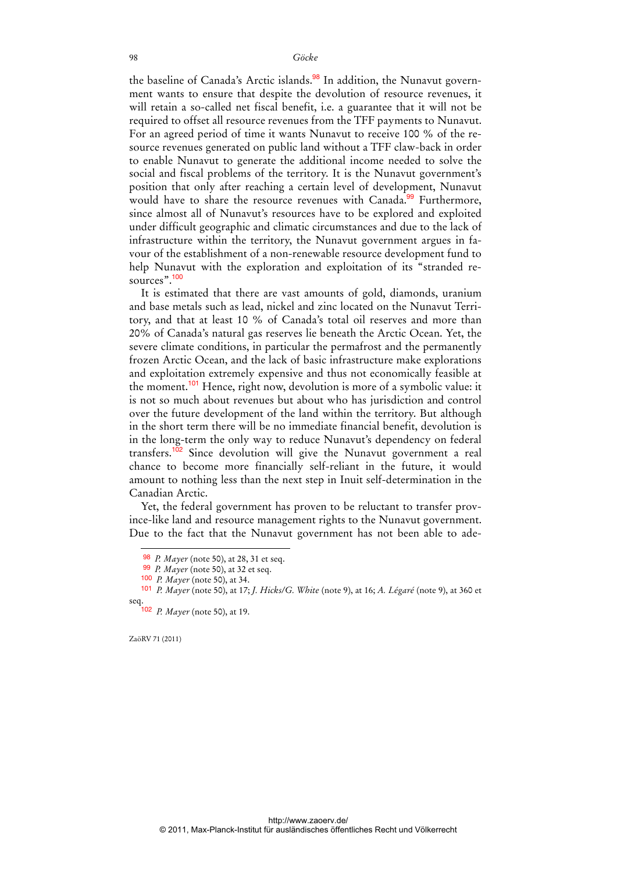the baseline of Canada's Arctic islands.<sup>98</sup> In addition, the Nunavut government wants to ensure that despite the devolution of resource revenues, it will retain a so-called net fiscal benefit, i.e. a guarantee that it will not be required to offset all resource revenues from the TFF payments to Nunavut. For an agreed period of time it wants Nunavut to receive 100 % of the resource revenues generated on public land without a TFF claw-back in order to enable Nunavut to generate the additional income needed to solve the social and fiscal problems of the territory. It is the Nunavut government's position that only after reaching a certain level of development, Nunavut would have to share the resource revenues with Canada.<sup>99</sup> Furthermore, since almost all of Nunavut's resources have to be explored and exploited under difficult geographic and climatic circumstances and due to the lack of infrastructure within the territory, the Nunavut government argues in favour of the establishment of a non-renewable resource development fund to help Nunavut with the exploration and exploitation of its "stranded resources".<sup>100</sup>

It is estimated that there are vast amounts of gold, diamonds, uranium and base metals such as lead, nickel and zinc located on the Nunavut Territory, and that at least 10 % of Canada's total oil reserves and more than 20% of Canada's natural gas reserves lie beneath the Arctic Ocean. Yet, the severe climate conditions, in particular the permafrost and the permanently frozen Arctic Ocean, and the lack of basic infrastructure make explorations and exploitation extremely expensive and thus not economically feasible at the moment.<sup>101</sup> Hence, right now, devolution is more of a symbolic value: it is not so much about revenues but about who has jurisdiction and control over the future development of the land within the territory. But although in the short term there will be no immediate financial benefit, devolution is in the long-term the only way to reduce Nunavut's dependency on federal transfers.<sup>102</sup> Since devolution will give the Nunavut government a real chance to become more financially self-reliant in the future, it would amount to nothing less than the next step in Inuit self-determination in the Canadian Arctic.

Yet, the federal government has proven to be reluctant to transfer province-like land and resource management rights to the Nunavut government. Due to the fact that the Nunavut government has not been able to ade-

ZaöRV 71 (2011)

 $\ddot{ }$ 

<sup>98</sup> *P. Mayer* (note 50), at 28, 31 et seq.

<sup>99</sup> *P. Mayer* (note 50), at 32 et seq.

<sup>100</sup> *P. Mayer* (note 50), at 34.

<sup>101</sup> *P. Mayer* (note 50), at 17; *J. Hicks/G. White* (note 9), at 16; *A. Légaré* (note 9), at 360 et seq.

<sup>102</sup> *P. Mayer* (note 50), at 19.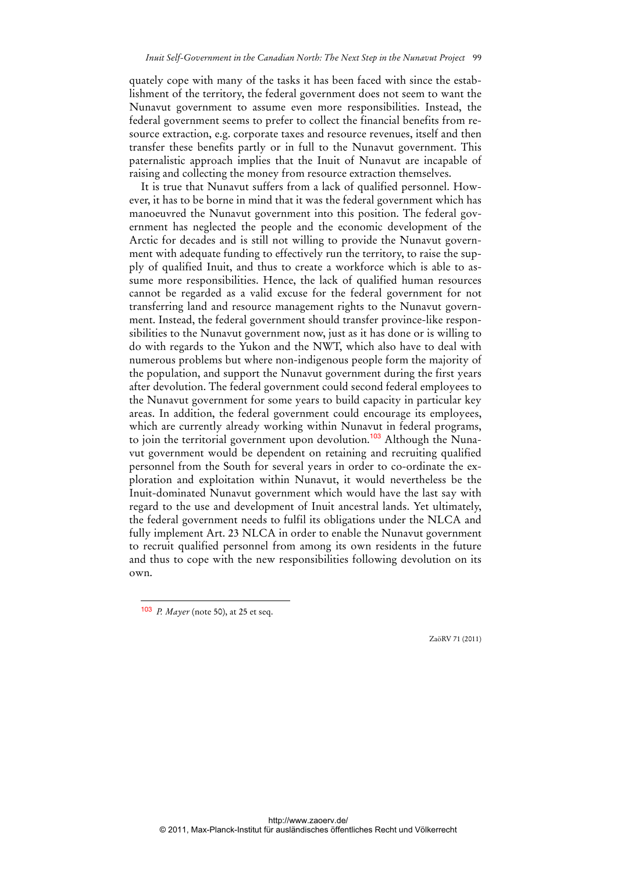quately cope with many of the tasks it has been faced with since the establishment of the territory, the federal government does not seem to want the Nunavut government to assume even more responsibilities. Instead, the federal government seems to prefer to collect the financial benefits from resource extraction, e.g. corporate taxes and resource revenues, itself and then transfer these benefits partly or in full to the Nunavut government. This paternalistic approach implies that the Inuit of Nunavut are incapable of raising and collecting the money from resource extraction themselves.

It is true that Nunavut suffers from a lack of qualified personnel. However, it has to be borne in mind that it was the federal government which has manoeuvred the Nunavut government into this position. The federal government has neglected the people and the economic development of the Arctic for decades and is still not willing to provide the Nunavut government with adequate funding to effectively run the territory, to raise the supply of qualified Inuit, and thus to create a workforce which is able to assume more responsibilities. Hence, the lack of qualified human resources cannot be regarded as a valid excuse for the federal government for not transferring land and resource management rights to the Nunavut government. Instead, the federal government should transfer province-like responsibilities to the Nunavut government now, just as it has done or is willing to do with regards to the Yukon and the NWT, which also have to deal with numerous problems but where non-indigenous people form the majority of the population, and support the Nunavut government during the first years after devolution. The federal government could second federal employees to the Nunavut government for some years to build capacity in particular key areas. In addition, the federal government could encourage its employees, which are currently already working within Nunavut in federal programs, to join the territorial government upon devolution.<sup>103</sup> Although the Nunavut government would be dependent on retaining and recruiting qualified personnel from the South for several years in order to co-ordinate the exploration and exploitation within Nunavut, it would nevertheless be the Inuit-dominated Nunavut government which would have the last say with regard to the use and development of Inuit ancestral lands. Yet ultimately, the federal government needs to fulfil its obligations under the NLCA and fully implement Art. 23 NLCA in order to enable the Nunavut government to recruit qualified personnel from among its own residents in the future and thus to cope with the new responsibilities following devolution on its own.

 $\overline{a}$ 

<sup>103</sup> *P. Mayer* (note 50), at 25 et seq.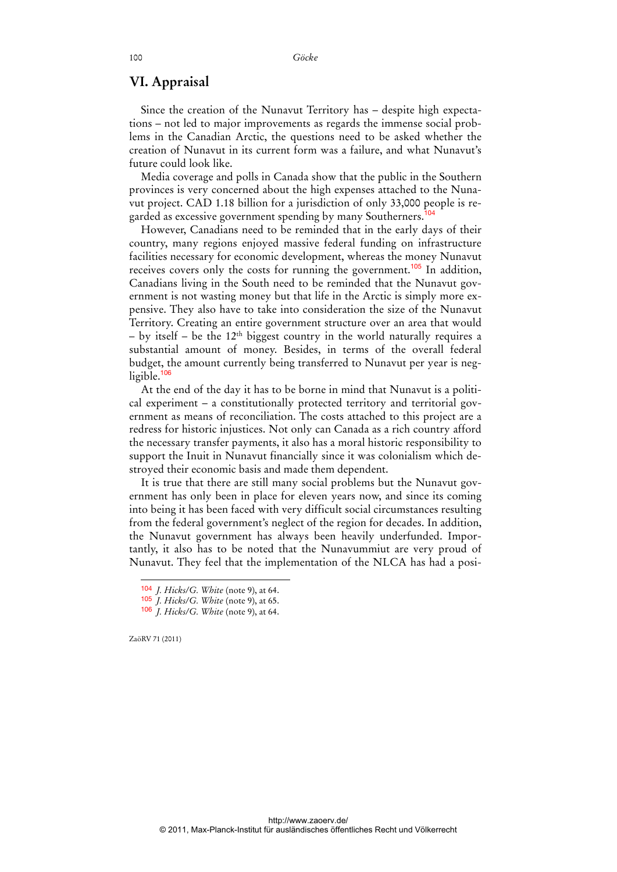# **VI. Appraisal**

Since the creation of the Nunavut Territory has – despite high expectations – not led to major improvements as regards the immense social problems in the Canadian Arctic, the questions need to be asked whether the creation of Nunavut in its current form was a failure, and what Nunavut's future could look like.

Media coverage and polls in Canada show that the public in the Southern provinces is very concerned about the high expenses attached to the Nunavut project. CAD 1.18 billion for a jurisdiction of only 33,000 people is regarded as excessive government spending by many Southerners.<sup>104</sup>

However, Canadians need to be reminded that in the early days of their country, many regions enjoyed massive federal funding on infrastructure facilities necessary for economic development, whereas the money Nunavut receives covers only the costs for running the government.<sup>105</sup> In addition, Canadians living in the South need to be reminded that the Nunavut government is not wasting money but that life in the Arctic is simply more expensive. They also have to take into consideration the size of the Nunavut Territory. Creating an entire government structure over an area that would – by itself – be the  $12<sup>th</sup>$  biggest country in the world naturally requires a substantial amount of money. Besides, in terms of the overall federal budget, the amount currently being transferred to Nunavut per year is negligible.<sup>106</sup>

At the end of the day it has to be borne in mind that Nunavut is a political experiment – a constitutionally protected territory and territorial government as means of reconciliation. The costs attached to this project are a redress for historic injustices. Not only can Canada as a rich country afford the necessary transfer payments, it also has a moral historic responsibility to support the Inuit in Nunavut financially since it was colonialism which destroyed their economic basis and made them dependent.

It is true that there are still many social problems but the Nunavut government has only been in place for eleven years now, and since its coming into being it has been faced with very difficult social circumstances resulting from the federal government's neglect of the region for decades. In addition, the Nunavut government has always been heavily underfunded. Importantly, it also has to be noted that the Nunavummiut are very proud of Nunavut. They feel that the implementation of the NLCA has had a posi-

ZaöRV 71 (2011)

<sup>104</sup> *J. Hicks/G. White* (note 9), at 64.

<sup>105</sup> *J. Hicks/G. White* (note 9), at 65.

<sup>106</sup> *J. Hicks/G. White* (note 9), at 64.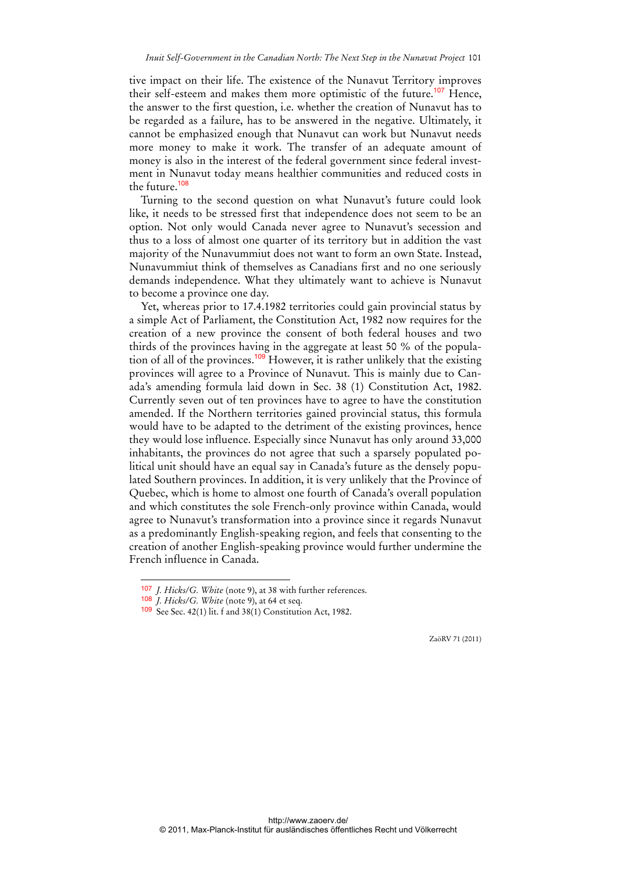tive impact on their life. The existence of the Nunavut Territory improves their self-esteem and makes them more optimistic of the future.<sup>107</sup> Hence, the answer to the first question, i.e. whether the creation of Nunavut has to be regarded as a failure, has to be answered in the negative. Ultimately, it cannot be emphasized enough that Nunavut can work but Nunavut needs more money to make it work. The transfer of an adequate amount of money is also in the interest of the federal government since federal investment in Nunavut today means healthier communities and reduced costs in the future.<sup>108</sup>

Turning to the second question on what Nunavut's future could look like, it needs to be stressed first that independence does not seem to be an option. Not only would Canada never agree to Nunavut's secession and thus to a loss of almost one quarter of its territory but in addition the vast majority of the Nunavummiut does not want to form an own State. Instead, Nunavummiut think of themselves as Canadians first and no one seriously demands independence. What they ultimately want to achieve is Nunavut to become a province one day.

Yet, whereas prior to 17.4.1982 territories could gain provincial status by a simple Act of Parliament, the Constitution Act, 1982 now requires for the creation of a new province the consent of both federal houses and two thirds of the provinces having in the aggregate at least 50 % of the population of all of the provinces.<sup>109</sup> However, it is rather unlikely that the existing provinces will agree to a Province of Nunavut. This is mainly due to Canada's amending formula laid down in Sec. 38 (1) Constitution Act, 1982. Currently seven out of ten provinces have to agree to have the constitution amended. If the Northern territories gained provincial status, this formula would have to be adapted to the detriment of the existing provinces, hence they would lose influence. Especially since Nunavut has only around 33,000 inhabitants, the provinces do not agree that such a sparsely populated political unit should have an equal say in Canada's future as the densely populated Southern provinces. In addition, it is very unlikely that the Province of Quebec, which is home to almost one fourth of Canada's overall population and which constitutes the sole French-only province within Canada, would agree to Nunavut's transformation into a province since it regards Nunavut as a predominantly English-speaking region, and feels that consenting to the creation of another English-speaking province would further undermine the French influence in Canada.

 $\overline{a}$ 

<sup>107</sup> *J. Hicks/G. White* (note 9), at 38 with further references.

<sup>108</sup> *J. Hicks/G. White* (note 9), at 64 et seq.

<sup>109</sup> See Sec. 42(1) lit. f and 38(1) Constitution Act, 1982.